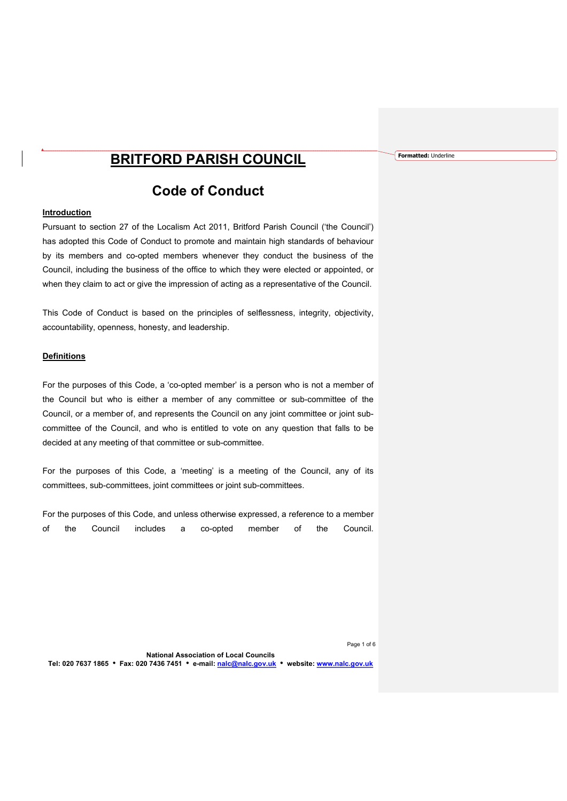## BRITFORD PARISH COUNCIL

# Code of Conduct

## **Introduction**

Pursuant to section 27 of the Localism Act 2011, Britford Parish Council ('the Council') has adopted this Code of Conduct to promote and maintain high standards of behaviour by its members and co-opted members whenever they conduct the business of the Council, including the business of the office to which they were elected or appointed, or when they claim to act or give the impression of acting as a representative of the Council.

This Code of Conduct is based on the principles of selflessness, integrity, objectivity, accountability, openness, honesty, and leadership.

### Definitions

For the purposes of this Code, a 'co-opted member' is a person who is not a member of the Council but who is either a member of any committee or sub-committee of the Council, or a member of, and represents the Council on any joint committee or joint subcommittee of the Council, and who is entitled to vote on any question that falls to be decided at any meeting of that committee or sub-committee.

For the purposes of this Code, a 'meeting' is a meeting of the Council, any of its committees, sub-committees, joint committees or joint sub-committees.

For the purposes of this Code, and unless otherwise expressed, a reference to a member of the Council includes a co-opted member of the Council. Formatted: Underline

Page 1 of 6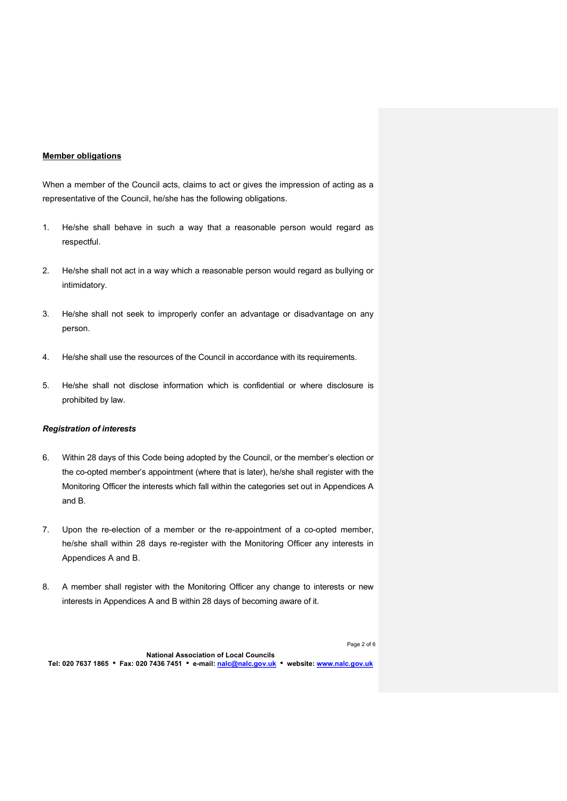## Member obligations

When a member of the Council acts, claims to act or gives the impression of acting as a representative of the Council, he/she has the following obligations.

- 1. He/she shall behave in such a way that a reasonable person would regard as respectful.
- 2. He/she shall not act in a way which a reasonable person would regard as bullying or intimidatory.
- 3. He/she shall not seek to improperly confer an advantage or disadvantage on any person.
- 4. He/she shall use the resources of the Council in accordance with its requirements.
- 5. He/she shall not disclose information which is confidential or where disclosure is prohibited by law.

#### Registration of interests

- 6. Within 28 days of this Code being adopted by the Council, or the member's election or the co-opted member's appointment (where that is later), he/she shall register with the Monitoring Officer the interests which fall within the categories set out in Appendices A and B.
- 7. Upon the re-election of a member or the re-appointment of a co-opted member, he/she shall within 28 days re-register with the Monitoring Officer any interests in Appendices A and B.
- 8. A member shall register with the Monitoring Officer any change to interests or new interests in Appendices A and B within 28 days of becoming aware of it.

Page 2 of 6

National Association of Local Councils Tel: 020 7637 1865 • Fax: 020 7436 7451 • e-mail: nalc@nalc.gov.uk • website: www.nalc.gov.uk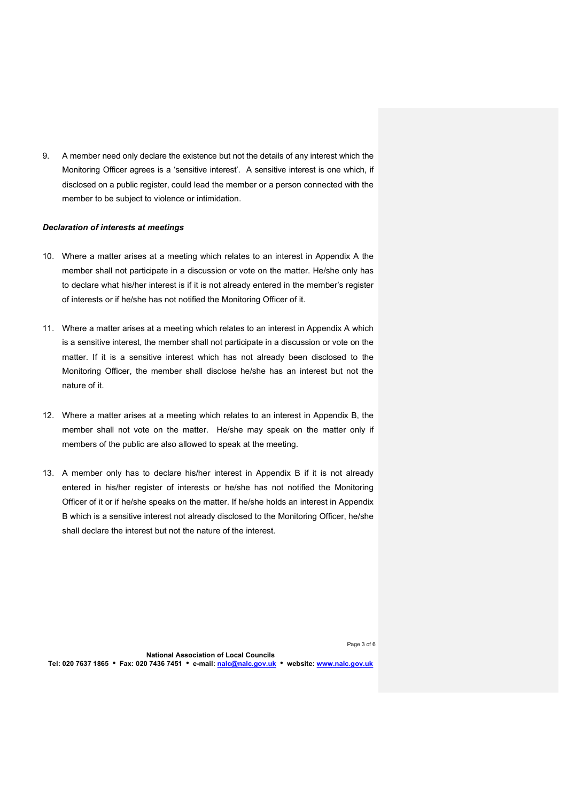9. A member need only declare the existence but not the details of any interest which the Monitoring Officer agrees is a 'sensitive interest'. A sensitive interest is one which, if disclosed on a public register, could lead the member or a person connected with the member to be subject to violence or intimidation.

#### Declaration of interests at meetings

- 10. Where a matter arises at a meeting which relates to an interest in Appendix A the member shall not participate in a discussion or vote on the matter. He/she only has to declare what his/her interest is if it is not already entered in the member's register of interests or if he/she has not notified the Monitoring Officer of it.
- 11. Where a matter arises at a meeting which relates to an interest in Appendix A which is a sensitive interest, the member shall not participate in a discussion or vote on the matter. If it is a sensitive interest which has not already been disclosed to the Monitoring Officer, the member shall disclose he/she has an interest but not the nature of it.
- 12. Where a matter arises at a meeting which relates to an interest in Appendix B, the member shall not vote on the matter. He/she may speak on the matter only if members of the public are also allowed to speak at the meeting.
- 13. A member only has to declare his/her interest in Appendix B if it is not already entered in his/her register of interests or he/she has not notified the Monitoring Officer of it or if he/she speaks on the matter. If he/she holds an interest in Appendix B which is a sensitive interest not already disclosed to the Monitoring Officer, he/she shall declare the interest but not the nature of the interest.

Page 3 of 6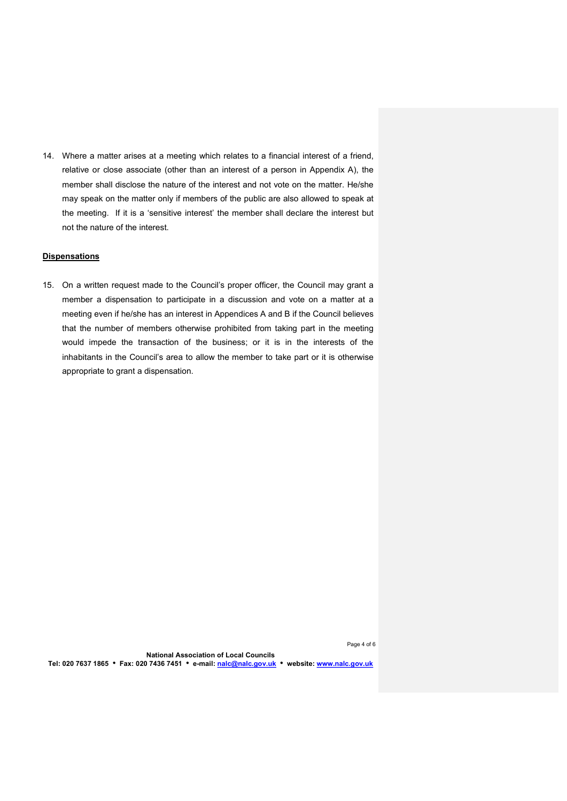14. Where a matter arises at a meeting which relates to a financial interest of a friend, relative or close associate (other than an interest of a person in Appendix A), the member shall disclose the nature of the interest and not vote on the matter. He/she may speak on the matter only if members of the public are also allowed to speak at the meeting. If it is a 'sensitive interest' the member shall declare the interest but not the nature of the interest.

## **Dispensations**

15. On a written request made to the Council's proper officer, the Council may grant a member a dispensation to participate in a discussion and vote on a matter at a meeting even if he/she has an interest in Appendices A and B if the Council believes that the number of members otherwise prohibited from taking part in the meeting would impede the transaction of the business; or it is in the interests of the inhabitants in the Council's area to allow the member to take part or it is otherwise appropriate to grant a dispensation.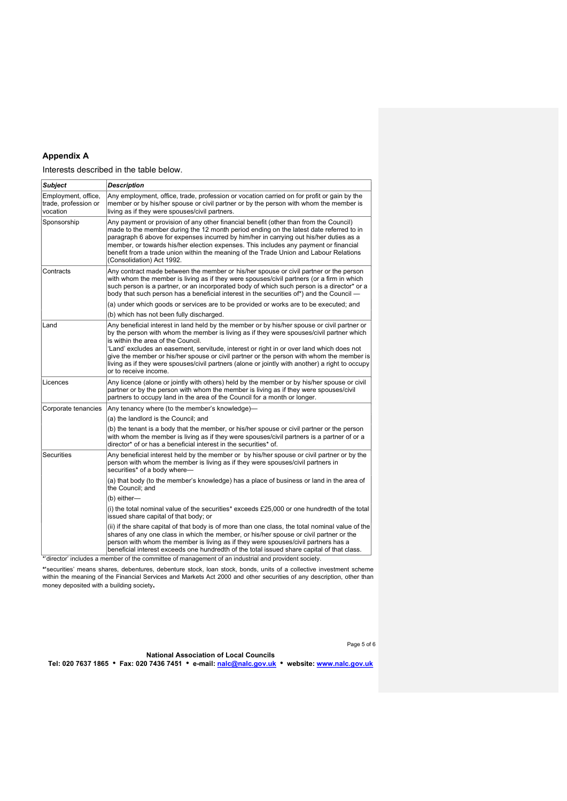## Appendix A

Interests described in the table below.

| <b>Subject</b>                                          | <b>Description</b>                                                                                                                                                                                                                                                                                                                                                                                                                                                                                                                                |
|---------------------------------------------------------|---------------------------------------------------------------------------------------------------------------------------------------------------------------------------------------------------------------------------------------------------------------------------------------------------------------------------------------------------------------------------------------------------------------------------------------------------------------------------------------------------------------------------------------------------|
| Employment, office,<br>trade, profession or<br>vocation | Any employment, office, trade, profession or vocation carried on for profit or gain by the<br>member or by his/her spouse or civil partner or by the person with whom the member is<br>living as if they were spouses/civil partners.                                                                                                                                                                                                                                                                                                             |
| Sponsorship                                             | Any payment or provision of any other financial benefit (other than from the Council)<br>made to the member during the 12 month period ending on the latest date referred to in<br>paragraph 6 above for expenses incurred by him/her in carrying out his/her duties as a<br>member, or towards his/her election expenses. This includes any payment or financial<br>benefit from a trade union within the meaning of the Trade Union and Labour Relations<br>(Consolidation) Act 1992.                                                           |
| Contracts                                               | Any contract made between the member or his/her spouse or civil partner or the person<br>with whom the member is living as if they were spouses/civil partners (or a firm in which<br>such person is a partner, or an incorporated body of which such person is a director* or a<br>body that such person has a beneficial interest in the securities of*) and the Council —                                                                                                                                                                      |
|                                                         | (a) under which goods or services are to be provided or works are to be executed; and                                                                                                                                                                                                                                                                                                                                                                                                                                                             |
|                                                         | (b) which has not been fully discharged.                                                                                                                                                                                                                                                                                                                                                                                                                                                                                                          |
| Land                                                    | Any beneficial interest in land held by the member or by his/her spouse or civil partner or<br>by the person with whom the member is living as if they were spouses/civil partner which<br>is within the area of the Council.<br>'Land' excludes an easement, servitude, interest or right in or over land which does not<br>give the member or his/her spouse or civil partner or the person with whom the member is<br>living as if they were spouses/civil partners (alone or jointly with another) a right to occupy<br>or to receive income. |
| Licences                                                | Any licence (alone or jointly with others) held by the member or by his/her spouse or civil<br>partner or by the person with whom the member is living as if they were spouses/civil<br>partners to occupy land in the area of the Council for a month or longer.                                                                                                                                                                                                                                                                                 |
| Corporate tenancies                                     | Any tenancy where (to the member's knowledge)-                                                                                                                                                                                                                                                                                                                                                                                                                                                                                                    |
|                                                         | (a) the landlord is the Council; and                                                                                                                                                                                                                                                                                                                                                                                                                                                                                                              |
|                                                         | (b) the tenant is a body that the member, or his/her spouse or civil partner or the person<br>with whom the member is living as if they were spouses/civil partners is a partner of or a<br>director* of or has a beneficial interest in the securities* of.                                                                                                                                                                                                                                                                                      |
| <b>Securities</b>                                       | Any beneficial interest held by the member or by his/her spouse or civil partner or by the<br>person with whom the member is living as if they were spouses/civil partners in<br>securities* of a body where-                                                                                                                                                                                                                                                                                                                                     |
|                                                         | (a) that body (to the member's knowledge) has a place of business or land in the area of<br>the Council; and                                                                                                                                                                                                                                                                                                                                                                                                                                      |
|                                                         | (b) either-                                                                                                                                                                                                                                                                                                                                                                                                                                                                                                                                       |
|                                                         | (i) the total nominal value of the securities* exceeds £25,000 or one hundredth of the total<br>issued share capital of that body; or                                                                                                                                                                                                                                                                                                                                                                                                             |
|                                                         | (ii) if the share capital of that body is of more than one class, the total nominal value of the<br>shares of any one class in which the member, or his/her spouse or civil partner or the<br>person with whom the member is living as if they were spouses/civil partners has a<br>beneficial interest exceeds one hundredth of the total issued share capital of that class.<br>*'director' includes a member of the committee of management of an industrial and provident society.                                                            |

\*'securities' means shares, debentures, debenture stock, loan stock, bonds, units of a collective investment scheme<br>within the meaning of the Financial Services and Markets Act 2000 and other securities of any description, money deposited with a building society.

Page 5 of 6

National Association of Local Councils Tel: 020 7637 1865 Fax: 020 7436 7451 e-mail: nalc@nalc.gov.uk website: www.nalc.gov.uk